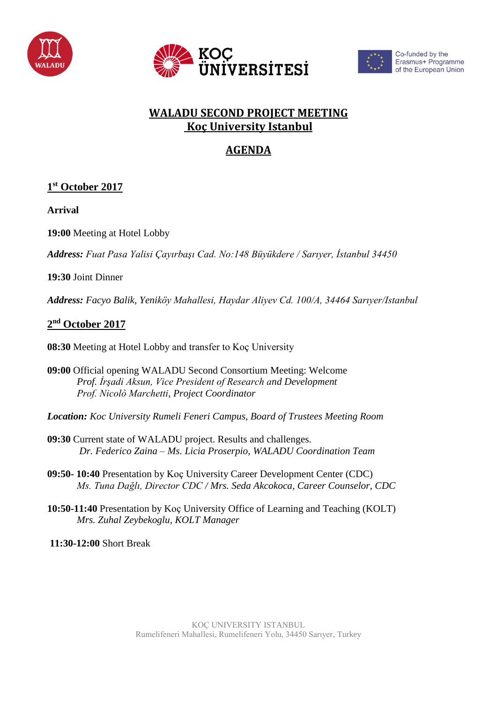





Co-funded by the Erasmus+ Programme of the European Union

## **WALADU SECOND PROJECT MEETING Koç University Istanbul**

# **AGENDA**

## **1 st October 2017**

**Arrival**

**19:00** Meeting at Hotel Lobby

*Address: Fuat Pasa Yalisi Çayırbaşı Cad. No:148 Büyükdere / Sarıyer, İstanbul 34450*

#### **19:30** Joint Dinner

*Address: Facyo Balik, Yeniköy Mahallesi, Haydar Aliyev Cd. 100/A, 34464 Sarıyer/Istanbul*

## **2 nd October 2017**

**08:30** Meeting at Hotel Lobby and transfer to Koç University

**09:00** Official opening WALADU Second Consortium Meeting: Welcome *Prof. İrşadi Aksun, Vice President of Research and Development Prof. Nicolò Marchetti, Project Coordinator*

*Location: Koc University Rumeli Feneri Campus, Board of Trustees Meeting Room*

- **09:30** Current state of WALADU project. Results and challenges. *Dr. Federico Zaina – Ms. Licia Proserpio, WALADU Coordination Team*
- **09:50- 10:40** Presentation by Koç University Career Development Center (CDC) *Ms. Tuna Dağlı, Director CDC / Mrs. Seda Akcokoca, Career Counselor, CDC*
- **10:50-11:40** Presentation by Koç University Office of Learning and Teaching (KOLT) *Mrs. Zuhal Zeybekoglu, KOLT Manager*

**11:30-12:00** Short Break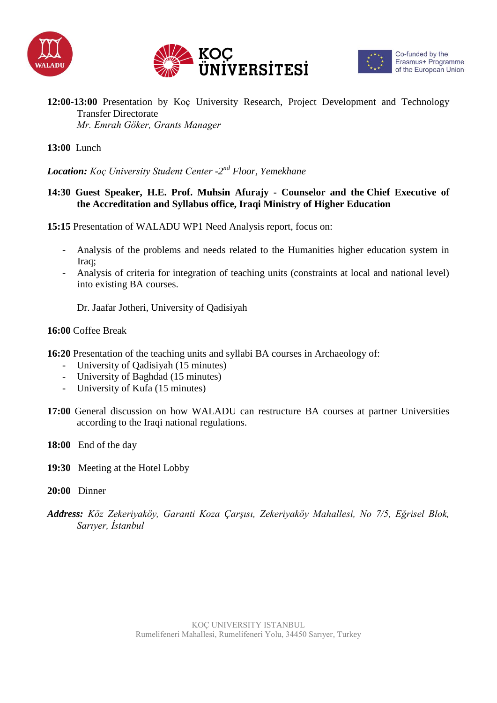





#### **12:00-13:00** Presentation by Koç University Research, Project Development and Technology Transfer Directorate *Mr. Emrah Göker, Grants Manager*

#### **13:00** Lunch

*Location: Koç University Student Center -2 nd Floor, Yemekhane*

#### **14:30 Guest Speaker, H.E. Prof. Muhsin Afurajy - Counselor and the Chief Executive of the Accreditation and Syllabus office, Iraqi Ministry of Higher Education**

**15:15** Presentation of WALADU WP1 Need Analysis report, focus on:

- Analysis of the problems and needs related to the Humanities higher education system in Iraq;
- Analysis of criteria for integration of teaching units (constraints at local and national level) into existing BA courses.

Dr. Jaafar Jotheri, University of Qadisiyah

#### **16:00** Coffee Break

- **16:20** Presentation of the teaching units and syllabi BA courses in Archaeology of:
	- University of Oadisiyah (15 minutes)
	- University of Baghdad (15 minutes)
	- University of Kufa (15 minutes)
- **17:00** General discussion on how WALADU can restructure BA courses at partner Universities according to the Iraqi national regulations.
- **18:00** End of the day
- **19:30** Meeting at the Hotel Lobby
- **20:00** Dinner
- *Address: Köz Zekeriyaköy, Garanti Koza Çarşısı, Zekeriyaköy Mahallesi, No 7/5, Eğrisel Blok, Sarıyer, İstanbul*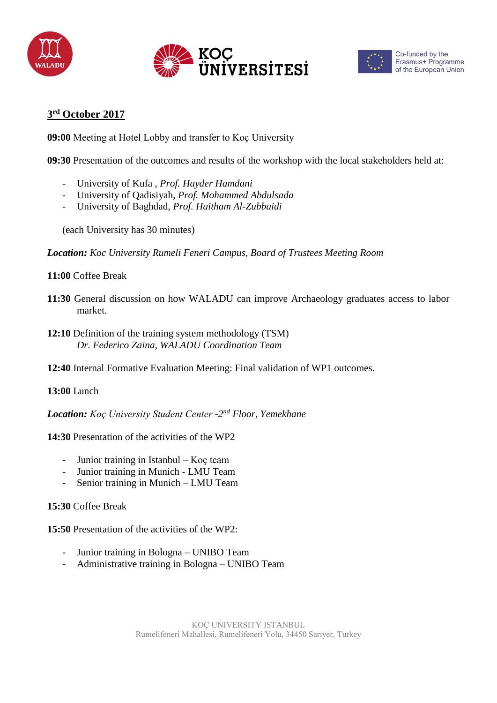





## **3 rd October 2017**

**09:00** Meeting at Hotel Lobby and transfer to Koç University

**09:30** Presentation of the outcomes and results of the workshop with the local stakeholders held at:

- University of Kufa , *Prof. Hayder Hamdani*
- University of Qadisiyah, *Prof. Mohammed Abdulsada*
- University of Baghdad, *Prof. Haitham Al-Zubbaidi*

(each University has 30 minutes)

*Location: Koc University Rumeli Feneri Campus, Board of Trustees Meeting Room*

#### **11:00** Coffee Break

- **11:30** General discussion on how WALADU can improve Archaeology graduates access to labor market.
- **12:10** Definition of the training system methodology (TSM) *Dr. Federico Zaina, WALADU Coordination Team*
- **12:40** Internal Formative Evaluation Meeting: Final validation of WP1 outcomes.

#### **13:00** Lunch

*Location: Koç University Student Center -2 nd Floor, Yemekhane*

**14:30** Presentation of the activities of the WP2

- Junior training in Istanbul Koç team
- Junior training in Munich LMU Team
- Senior training in Munich LMU Team

#### **15:30** Coffee Break

**15:50** Presentation of the activities of the WP2:

- Junior training in Bologna UNIBO Team
- Administrative training in Bologna UNIBO Team